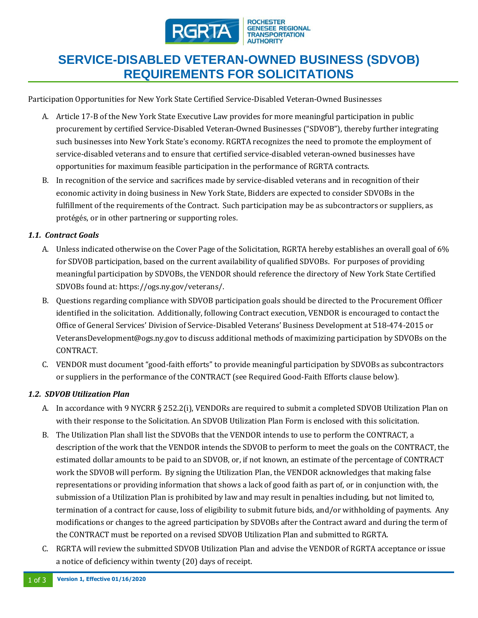

# **SERVICE-DISABLED VETERAN-OWNED BUSINESS (SDVOB) REQUIREMENTS FOR SOLICITATIONS**

Participation Opportunities for New York State Certified Service-Disabled Veteran-Owned Businesses

- A. Article 17-B of the New York State Executive Law provides for more meaningful participation in public procurement by certified Service-Disabled Veteran-Owned Businesses ("SDVOB"), thereby further integrating such businesses into New York State's economy. RGRTA recognizes the need to promote the employment of service-disabled veterans and to ensure that certified service-disabled veteran-owned businesses have opportunities for maximum feasible participation in the performance of RGRTA contracts.
- B. In recognition of the service and sacrifices made by service-disabled veterans and in recognition of their economic activity in doing business in New York State, Bidders are expected to consider SDVOBs in the fulfillment of the requirements of the Contract. Such participation may be as subcontractors or suppliers, as protégés, or in other partnering or supporting roles.

#### *1.1. Contract Goals*

- A. Unless indicated otherwise on the Cover Page of the Solicitation, RGRTA hereby establishes an overall goal of 6% for SDVOB participation, based on the current availability of qualified SDVOBs. For purposes of providing meaningful participation by SDVOBs, the VENDOR should reference the directory of New York State Certified SDVOBs found at: https://ogs.ny.gov/veterans/.
- B. Questions regarding compliance with SDVOB participation goals should be directed to the Procurement Officer identified in the solicitation. Additionally, following Contract execution, VENDOR is encouraged to contact the Office of General Services' Division of Service-Disabled Veterans' Business Development at 518-474-2015 or VeteransDevelopment@ogs.ny.gov to discuss additional methods of maximizing participation by SDVOBs on the CONTRACT.
- C. VENDOR must document "good-faith efforts" to provide meaningful participation by SDVOBs as subcontractors or suppliers in the performance of the CONTRACT (see Required Good-Faith Efforts clause below).

### *1.2. SDVOB Utilization Plan*

- A. In accordance with 9 NYCRR § 252.2(i), VENDORs are required to submit a completed SDVOB Utilization Plan on with their response to the Solicitation. An SDVOB Utilization Plan Form is enclosed with this solicitation.
- B. The Utilization Plan shall list the SDVOBs that the VENDOR intends to use to perform the CONTRACT, a description of the work that the VENDOR intends the SDVOB to perform to meet the goals on the CONTRACT, the estimated dollar amounts to be paid to an SDVOB, or, if not known, an estimate of the percentage of CONTRACT work the SDVOB will perform. By signing the Utilization Plan, the VENDOR acknowledges that making false representations or providing information that shows a lack of good faith as part of, or in conjunction with, the submission of a Utilization Plan is prohibited by law and may result in penalties including, but not limited to, termination of a contract for cause, loss of eligibility to submit future bids, and/or withholding of payments. Any modifications or changes to the agreed participation by SDVOBs after the Contract award and during the term of the CONTRACT must be reported on a revised SDVOB Utilization Plan and submitted to RGRTA.
- C. RGRTA will review the submitted SDVOB Utilization Plan and advise the VENDOR of RGRTA acceptance or issue a notice of deficiency within twenty (20) days of receipt.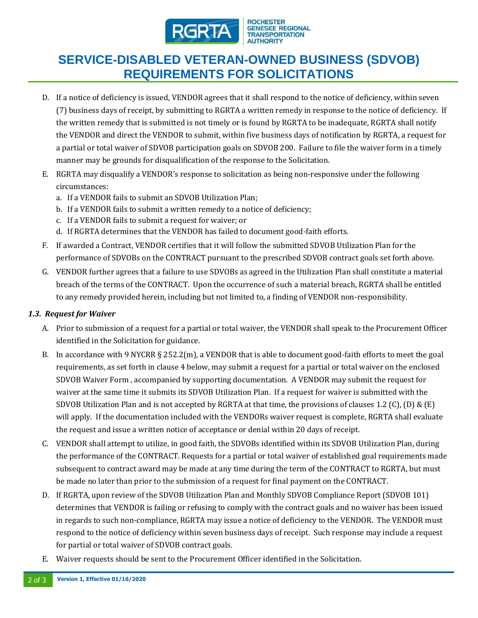

**ROCHESTER GENESEE REGIONAL TRANSPORTATION ALITHORITY** 

# **SERVICE-DISABLED VETERAN-OWNED BUSINESS (SDVOB) REQUIREMENTS FOR SOLICITATIONS**

- D. If a notice of deficiency is issued, VENDOR agrees that it shall respond to the notice of deficiency, within seven (7) business days of receipt, by submitting to RGRTA a written remedy in response to the notice of deficiency. If the written remedy that is submitted is not timely or is found by RGRTA to be inadequate, RGRTA shall notify the VENDOR and direct the VENDOR to submit, within five business days of notification by RGRTA, a request for a partial or total waiver of SDVOB participation goals on SDVOB 200. Failure to file the waiver form in a timely manner may be grounds for disqualification of the response to the Solicitation.
- E. RGRTA may disqualify a VENDOR's response to solicitation as being non-responsive under the following circumstances:
	- a. If a VENDOR fails to submit an SDVOB Utilization Plan;
	- b. If a VENDOR fails to submit a written remedy to a notice of deficiency;
	- c. If a VENDOR fails to submit a request for waiver; or
	- d. If RGRTA determines that the VENDOR has failed to document good-faith efforts.
- F. If awarded a Contract, VENDOR certifies that it will follow the submitted SDVOB Utilization Plan for the performance of SDVOBs on the CONTRACT pursuant to the prescribed SDVOB contract goals set forth above.
- G. VENDOR further agrees that a failure to use SDVOBs as agreed in the Utilization Plan shall constitute a material breach of the terms of the CONTRACT. Upon the occurrence of such a material breach, RGRTA shall be entitled to any remedy provided herein, including but not limited to, a finding of VENDOR non-responsibility.

#### *1.3. Request for Waiver*

- A. Prior to submission of a request for a partial or total waiver, the VENDOR shall speak to the Procurement Officer identified in the Solicitation for guidance.
- B. In accordance with 9 NYCRR § 252.2(m), a VENDOR that is able to document good-faith efforts to meet the goal requirements, as set forth in clause 4 below, may submit a request for a partial or total waiver on the enclosed SDVOB Waiver Form , accompanied by supporting documentation. A VENDOR may submit the request for waiver at the same time it submits its SDVOB Utilization Plan. If a request for waiver is submitted with the SDVOB Utilization Plan and is not accepted by RGRTA at that time, the provisions of clauses 1.2 (C), (D) & (E) will apply. If the documentation included with the VENDORs waiver request is complete, RGRTA shall evaluate the request and issue a written notice of acceptance or denial within 20 days of receipt.
- C. VENDOR shall attempt to utilize, in good faith, the SDVOBs identified within its SDVOB Utilization Plan, during the performance of the CONTRACT. Requests for a partial or total waiver of established goal requirements made subsequent to contract award may be made at any time during the term of the CONTRACT to RGRTA, but must be made no later than prior to the submission of a request for final payment on the CONTRACT.
- D. If RGRTA, upon review of the SDVOB Utilization Plan and Monthly SDVOB Compliance Report (SDVOB 101) determines that VENDOR is failing or refusing to comply with the contract goals and no waiver has been issued in regards to such non-compliance, RGRTA may issue a notice of deficiency to the VENDOR. The VENDOR must respond to the notice of deficiency within seven business days of receipt. Such response may include a request for partial or total waiver of SDVOB contract goals.
- E. Waiver requests should be sent to the Procurement Officer identified in the Solicitation.